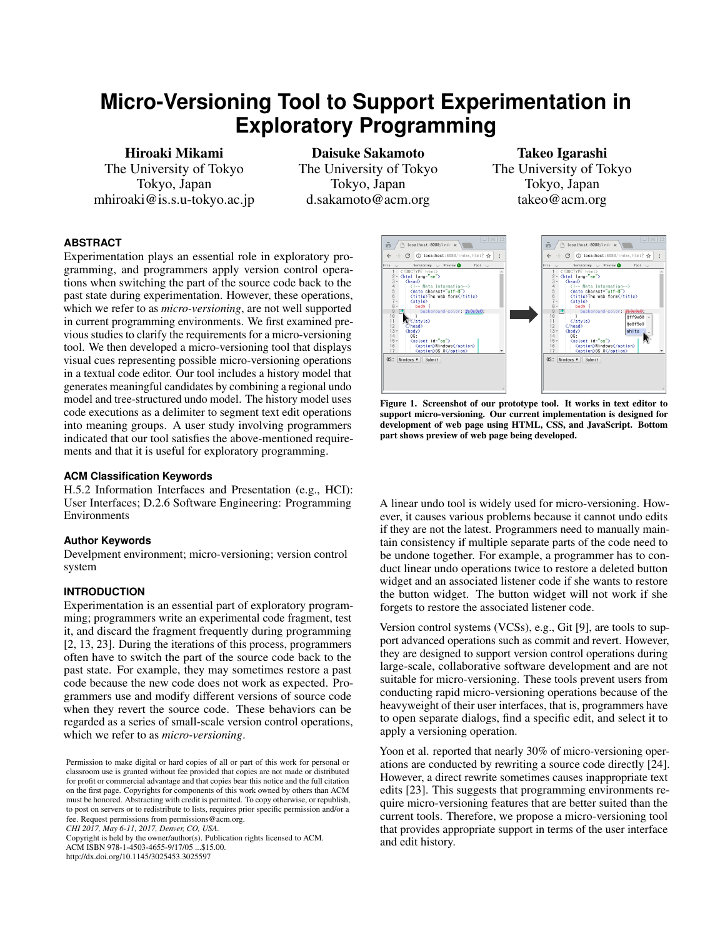# **Micro-Versioning Tool to Support Experimentation in Exploratory Programming**

Hiroaki Mikami The University of Tokyo Tokyo, Japan mhiroaki@is.s.u-tokyo.ac.jp

Daisuke Sakamoto The University of Tokyo Tokyo, Japan d.sakamoto@acm.org

Takeo Igarashi The University of Tokyo Tokyo, Japan takeo@acm.org

# **ABSTRACT**

Experimentation plays an essential role in exploratory programming, and programmers apply version control operations when switching the part of the source code back to the past state during experimentation. However, these operations, which we refer to as *micro-versioning*, are not well supported in current programming environments. We first examined previous studies to clarify the requirements for a micro-versioning tool. We then developed a micro-versioning tool that displays visual cues representing possible micro-versioning operations in a textual code editor. Our tool includes a history model that generates meaningful candidates by combining a regional undo model and tree-structured undo model. The history model uses code executions as a delimiter to segment text edit operations into meaning groups. A user study involving programmers indicated that our tool satisfies the above-mentioned requirements and that it is useful for exploratory programming.

## **ACM Classification Keywords**

H.5.2 Information Interfaces and Presentation (e.g., HCI): User Interfaces; D.2.6 Software Engineering: Programming Environments

#### **Author Keywords**

Develpment environment; micro-versioning; version control system

#### **INTRODUCTION**

Experimentation is an essential part of exploratory programming; programmers write an experimental code fragment, test it, and discard the fragment frequently during programming [\[2,](#page-10-0) [13,](#page-10-1) [23\]](#page-10-2). During the iterations of this process, programmers often have to switch the part of the source code back to the past state. For example, they may sometimes restore a past code because the new code does not work as expected. Programmers use and modify different versions of source code when they revert the source code. These behaviors can be regarded as a series of small-scale version control operations, which we refer to as *micro-versioning*.

*CHI 2017, May 6-11, 2017, Denver, CO, USA.*

Copyright is held by the owner/author(s). Publication rights licensed to ACM. ACM ISBN 978-1-4503-4655-9/17/05 ...\$15.00.

http://dx.doi.org/10.1145/3025453.3025597



<span id="page-0-0"></span>Figure 1. Screenshot of our prototype tool. It works in text editor to support micro-versioning. Our current implementation is designed for development of web page using HTML, CSS, and JavaScript. Bottom part shows preview of web page being developed.

A linear undo tool is widely used for micro-versioning. However, it causes various problems because it cannot undo edits if they are not the latest. Programmers need to manually maintain consistency if multiple separate parts of the code need to be undone together. For example, a programmer has to conduct linear undo operations twice to restore a deleted button widget and an associated listener code if she wants to restore the button widget. The button widget will not work if she forgets to restore the associated listener code.

Version control systems (VCSs), e.g., Git [\[9\]](#page-10-3), are tools to support advanced operations such as commit and revert. However, they are designed to support version control operations during large-scale, collaborative software development and are not suitable for micro-versioning. These tools prevent users from conducting rapid micro-versioning operations because of the heavyweight of their user interfaces, that is, programmers have to open separate dialogs, find a specific edit, and select it to apply a versioning operation.

Yoon et al. reported that nearly 30% of micro-versioning operations are conducted by rewriting a source code directly [\[24\]](#page-11-0). However, a direct rewrite sometimes causes inappropriate text edits [\[23\]](#page-10-2). This suggests that programming environments require micro-versioning features that are better suited than the current tools. Therefore, we propose a micro-versioning tool that provides appropriate support in terms of the user interface and edit history.

Permission to make digital or hard copies of all or part of this work for personal or classroom use is granted without fee provided that copies are not made or distributed for profit or commercial advantage and that copies bear this notice and the full citation on the first page. Copyrights for components of this work owned by others than ACM must be honored. Abstracting with credit is permitted. To copy otherwise, or republish, to post on servers or to redistribute to lists, requires prior specific permission and/or a fee. Request permissions from permissions@acm.org.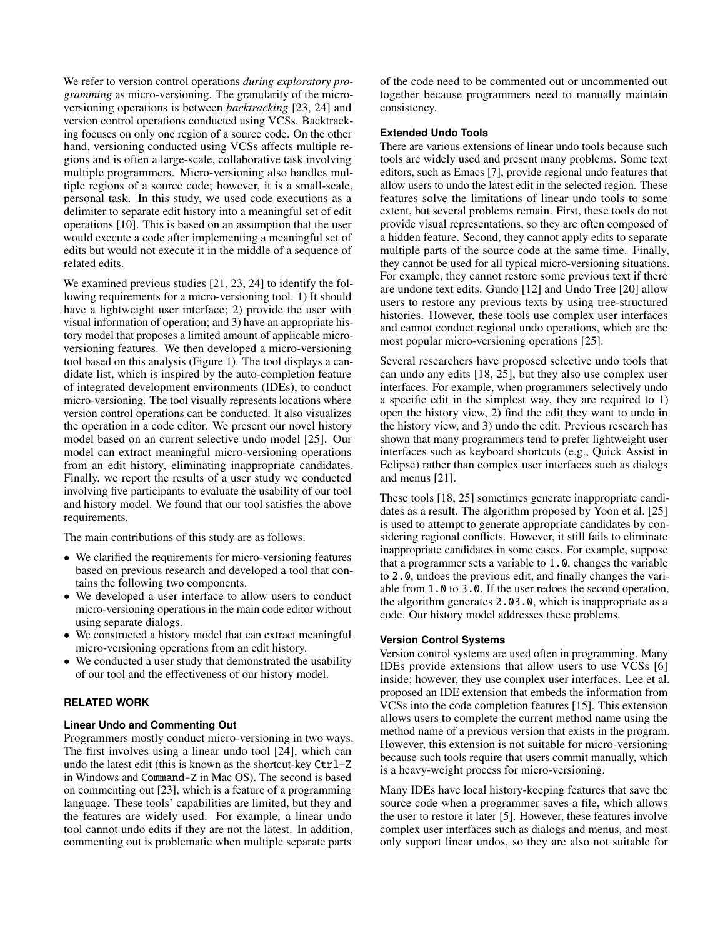We refer to version control operations *during exploratory programming* as micro-versioning. The granularity of the microversioning operations is between *backtracking* [\[23,](#page-10-2) [24\]](#page-11-0) and version control operations conducted using VCSs. Backtracking focuses on only one region of a source code. On the other hand, versioning conducted using VCSs affects multiple regions and is often a large-scale, collaborative task involving multiple programmers. Micro-versioning also handles multiple regions of a source code; however, it is a small-scale, personal task. In this study, we used code executions as a delimiter to separate edit history into a meaningful set of edit operations [\[10\]](#page-10-4). This is based on an assumption that the user would execute a code after implementing a meaningful set of edits but would not execute it in the middle of a sequence of related edits.

We examined previous studies [\[21,](#page-10-5) [23,](#page-10-2) [24\]](#page-11-0) to identify the following requirements for a micro-versioning tool. 1) It should have a lightweight user interface; 2) provide the user with visual information of operation; and 3) have an appropriate history model that proposes a limited amount of applicable microversioning features. We then developed a micro-versioning tool based on this analysis (Figure [1\)](#page-0-0). The tool displays a candidate list, which is inspired by the auto-completion feature of integrated development environments (IDEs), to conduct micro-versioning. The tool visually represents locations where version control operations can be conducted. It also visualizes the operation in a code editor. We present our novel history model based on an current selective undo model [\[25\]](#page-11-1). Our model can extract meaningful micro-versioning operations from an edit history, eliminating inappropriate candidates. Finally, we report the results of a user study we conducted involving five participants to evaluate the usability of our tool and history model. We found that our tool satisfies the above requirements.

The main contributions of this study are as follows.

- We clarified the requirements for micro-versioning features based on previous research and developed a tool that contains the following two components.
- We developed a user interface to allow users to conduct micro-versioning operations in the main code editor without using separate dialogs.
- We constructed a history model that can extract meaningful micro-versioning operations from an edit history.
- We conducted a user study that demonstrated the usability of our tool and the effectiveness of our history model.

# **RELATED WORK**

# **Linear Undo and Commenting Out**

Programmers mostly conduct micro-versioning in two ways. The first involves using a linear undo tool [\[24\]](#page-11-0), which can undo the latest edit (this is known as the shortcut-key Ctrl+Z in Windows and Command-Z in Mac OS). The second is based on commenting out [\[23\]](#page-10-2), which is a feature of a programming language. These tools' capabilities are limited, but they and the features are widely used. For example, a linear undo tool cannot undo edits if they are not the latest. In addition, commenting out is problematic when multiple separate parts

of the code need to be commented out or uncommented out together because programmers need to manually maintain consistency.

# **Extended Undo Tools**

There are various extensions of linear undo tools because such tools are widely used and present many problems. Some text editors, such as Emacs [\[7\]](#page-10-6), provide regional undo features that allow users to undo the latest edit in the selected region. These features solve the limitations of linear undo tools to some extent, but several problems remain. First, these tools do not provide visual representations, so they are often composed of a hidden feature. Second, they cannot apply edits to separate multiple parts of the source code at the same time. Finally, they cannot be used for all typical micro-versioning situations. For example, they cannot restore some previous text if there are undone text edits. Gundo [\[12\]](#page-10-7) and Undo Tree [\[20\]](#page-10-8) allow users to restore any previous texts by using tree-structured histories. However, these tools use complex user interfaces and cannot conduct regional undo operations, which are the most popular micro-versioning operations [\[25\]](#page-11-1).

Several researchers have proposed selective undo tools that can undo any edits [\[18,](#page-10-9) [25\]](#page-11-1), but they also use complex user interfaces. For example, when programmers selectively undo a specific edit in the simplest way, they are required to 1) open the history view, 2) find the edit they want to undo in the history view, and 3) undo the edit. Previous research has shown that many programmers tend to prefer lightweight user interfaces such as keyboard shortcuts (e.g., Quick Assist in Eclipse) rather than complex user interfaces such as dialogs and menus [\[21\]](#page-10-5).

These tools [\[18,](#page-10-9) [25\]](#page-11-1) sometimes generate inappropriate candidates as a result. The algorithm proposed by Yoon et al. [\[25\]](#page-11-1) is used to attempt to generate appropriate candidates by considering regional conflicts. However, it still fails to eliminate inappropriate candidates in some cases. For example, suppose that a programmer sets a variable to 1.0, changes the variable to 2.0, undoes the previous edit, and finally changes the variable from 1.0 to 3.0. If the user redoes the second operation, the algorithm generates 2.03.0, which is inappropriate as a code. Our history model addresses these problems.

# **Version Control Systems**

Version control systems are used often in programming. Many IDEs provide extensions that allow users to use VCSs [\[6\]](#page-10-10) inside; however, they use complex user interfaces. Lee et al. proposed an IDE extension that embeds the information from VCSs into the code completion features [\[15\]](#page-10-11). This extension allows users to complete the current method name using the method name of a previous version that exists in the program. However, this extension is not suitable for micro-versioning because such tools require that users commit manually, which is a heavy-weight process for micro-versioning.

Many IDEs have local history-keeping features that save the source code when a programmer saves a file, which allows the user to restore it later [\[5\]](#page-10-12). However, these features involve complex user interfaces such as dialogs and menus, and most only support linear undos, so they are also not suitable for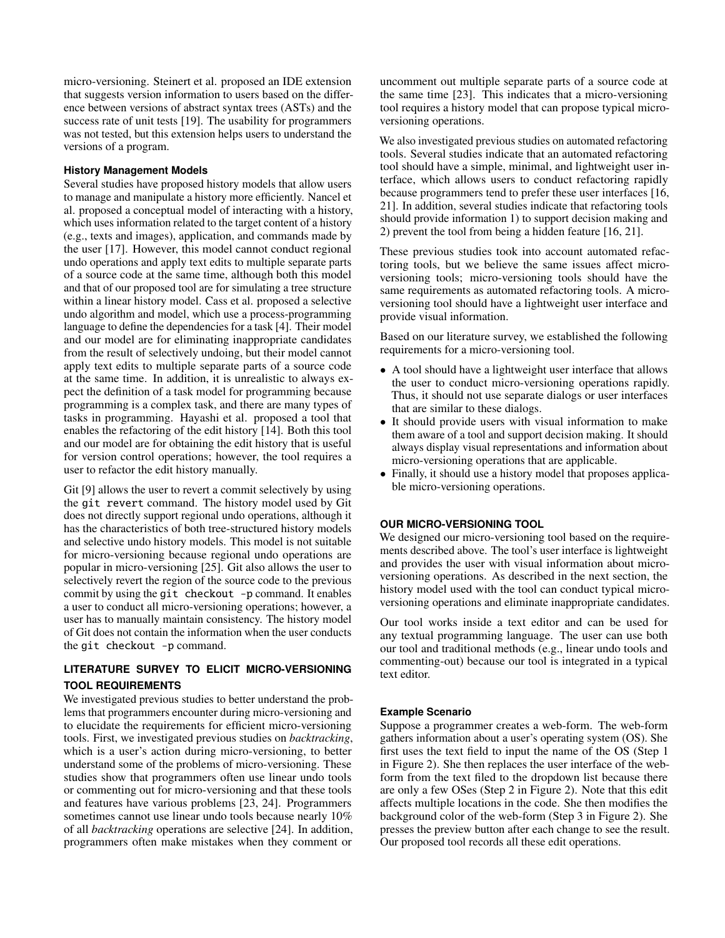micro-versioning. Steinert et al. proposed an IDE extension that suggests version information to users based on the difference between versions of abstract syntax trees (ASTs) and the success rate of unit tests [\[19\]](#page-10-13). The usability for programmers was not tested, but this extension helps users to understand the versions of a program.

# **History Management Models**

Several studies have proposed history models that allow users to manage and manipulate a history more efficiently. Nancel et al. proposed a conceptual model of interacting with a history, which uses information related to the target content of a history (e.g., texts and images), application, and commands made by the user [\[17\]](#page-10-14). However, this model cannot conduct regional undo operations and apply text edits to multiple separate parts of a source code at the same time, although both this model and that of our proposed tool are for simulating a tree structure within a linear history model. Cass et al. proposed a selective undo algorithm and model, which use a process-programming language to define the dependencies for a task [\[4\]](#page-10-15). Their model and our model are for eliminating inappropriate candidates from the result of selectively undoing, but their model cannot apply text edits to multiple separate parts of a source code at the same time. In addition, it is unrealistic to always expect the definition of a task model for programming because programming is a complex task, and there are many types of tasks in programming. Hayashi et al. proposed a tool that enables the refactoring of the edit history [\[14\]](#page-10-16). Both this tool and our model are for obtaining the edit history that is useful for version control operations; however, the tool requires a user to refactor the edit history manually.

Git [\[9\]](#page-10-3) allows the user to revert a commit selectively by using the git revert command. The history model used by Git does not directly support regional undo operations, although it has the characteristics of both tree-structured history models and selective undo history models. This model is not suitable for micro-versioning because regional undo operations are popular in micro-versioning [\[25\]](#page-11-1). Git also allows the user to selectively revert the region of the source code to the previous commit by using the git checkout -p command. It enables a user to conduct all micro-versioning operations; however, a user has to manually maintain consistency. The history model of Git does not contain the information when the user conducts the git checkout -p command.

# **LITERATURE SURVEY TO ELICIT MICRO-VERSIONING TOOL REQUIREMENTS**

We investigated previous studies to better understand the problems that programmers encounter during micro-versioning and to elucidate the requirements for efficient micro-versioning tools. First, we investigated previous studies on *backtracking*, which is a user's action during micro-versioning, to better understand some of the problems of micro-versioning. These studies show that programmers often use linear undo tools or commenting out for micro-versioning and that these tools and features have various problems [\[23,](#page-10-2) [24\]](#page-11-0). Programmers sometimes cannot use linear undo tools because nearly 10% of all *backtracking* operations are selective [\[24\]](#page-11-0). In addition, programmers often make mistakes when they comment or uncomment out multiple separate parts of a source code at the same time [\[23\]](#page-10-2). This indicates that a micro-versioning tool requires a history model that can propose typical microversioning operations.

We also investigated previous studies on automated refactoring tools. Several studies indicate that an automated refactoring tool should have a simple, minimal, and lightweight user interface, which allows users to conduct refactoring rapidly because programmers tend to prefer these user interfaces [\[16,](#page-10-17) [21\]](#page-10-5). In addition, several studies indicate that refactoring tools should provide information 1) to support decision making and 2) prevent the tool from being a hidden feature [\[16,](#page-10-17) [21\]](#page-10-5).

These previous studies took into account automated refactoring tools, but we believe the same issues affect microversioning tools; micro-versioning tools should have the same requirements as automated refactoring tools. A microversioning tool should have a lightweight user interface and provide visual information.

Based on our literature survey, we established the following requirements for a micro-versioning tool.

- A tool should have a lightweight user interface that allows the user to conduct micro-versioning operations rapidly. Thus, it should not use separate dialogs or user interfaces that are similar to these dialogs.
- It should provide users with visual information to make them aware of a tool and support decision making. It should always display visual representations and information about micro-versioning operations that are applicable.
- Finally, it should use a history model that proposes applicable micro-versioning operations.

# **OUR MICRO-VERSIONING TOOL**

We designed our micro-versioning tool based on the requirements described above. The tool's user interface is lightweight and provides the user with visual information about microversioning operations. As described in the next section, the history model used with the tool can conduct typical microversioning operations and eliminate inappropriate candidates.

Our tool works inside a text editor and can be used for any textual programming language. The user can use both our tool and traditional methods (e.g., linear undo tools and commenting-out) because our tool is integrated in a typical text editor.

#### **Example Scenario**

Suppose a programmer creates a web-form. The web-form gathers information about a user's operating system (OS). She first uses the text field to input the name of the OS (Step 1 in Figure [2\)](#page-3-0). She then replaces the user interface of the webform from the text filed to the dropdown list because there are only a few OSes (Step 2 in Figure [2\)](#page-3-0). Note that this edit affects multiple locations in the code. She then modifies the background color of the web-form (Step 3 in Figure [2\)](#page-3-0). She presses the preview button after each change to see the result. Our proposed tool records all these edit operations.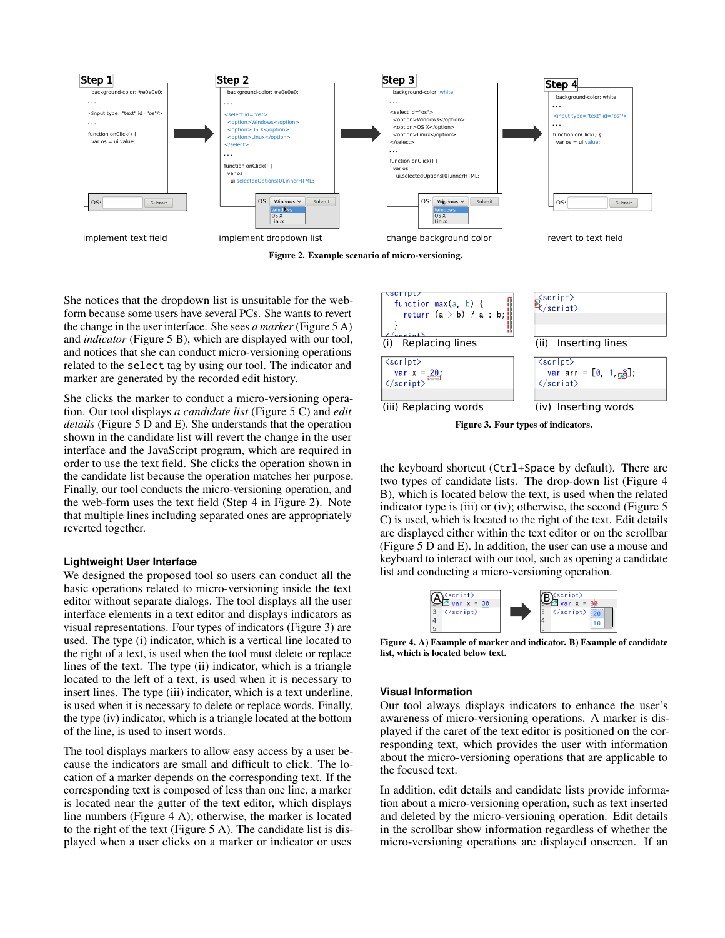

<span id="page-3-0"></span>Figure 2. Example scenario of micro-versioning.

She notices that the dropdown list is unsuitable for the webform because some users have several PCs. She wants to revert the change in the user interface. She sees *a marker* (Figure [5](#page-4-0) A) and *indicator* (Figure [5](#page-4-0) B), which are displayed with our tool, and notices that she can conduct micro-versioning operations related to the select tag by using our tool. The indicator and marker are generated by the recorded edit history.

She clicks the marker to conduct a micro-versioning operation. Our tool displays *a candidate list* (Figure [5](#page-4-0) C) and *edit details* (Figure [5](#page-4-0) D and E). She understands that the operation shown in the candidate list will revert the change in the user interface and the JavaScript program, which are required in order to use the text field. She clicks the operation shown in the candidate list because the operation matches her purpose. Finally, our tool conducts the micro-versioning operation, and the web-form uses the text field (Step 4 in Figure [2\)](#page-3-0). Note that multiple lines including separated ones are appropriately reverted together.

# **Lightweight User Interface**

We designed the proposed tool so users can conduct all the basic operations related to micro-versioning inside the text editor without separate dialogs. The tool displays all the user interface elements in a text editor and displays indicators as visual representations. Four types of indicators (Figure [3\)](#page-3-1) are used. The type (i) indicator, which is a vertical line located to the right of a text, is used when the tool must delete or replace lines of the text. The type (ii) indicator, which is a triangle located to the left of a text, is used when it is necessary to insert lines. The type (iii) indicator, which is a text underline, is used when it is necessary to delete or replace words. Finally, the type (iv) indicator, which is a triangle located at the bottom of the line, is used to insert words.

The tool displays markers to allow easy access by a user because the indicators are small and difficult to click. The location of a marker depends on the corresponding text. If the corresponding text is composed of less than one line, a marker is located near the gutter of the text editor, which displays line numbers (Figure [4](#page-3-2) A); otherwise, the marker is located to the right of the text (Figure [5](#page-4-0) A). The candidate list is displayed when a user clicks on a marker or indicator or uses



<span id="page-3-1"></span>Figure 3. Four types of indicators.

the keyboard shortcut (Ctrl+Space by default). There are two types of candidate lists. The drop-down list (Figure [4](#page-3-2) B), which is located below the text, is used when the related indicator type is (iii) or (iv); otherwise, the second (Figure [5](#page-4-0) C) is used, which is located to the right of the text. Edit details are displayed either within the text editor or on the scrollbar (Figure [5](#page-4-0) D and E). In addition, the user can use a mouse and keyboard to interact with our tool, such as opening a candidate list and conducting a micro-versioning operation.



<span id="page-3-2"></span>Figure 4. A) Example of marker and indicator. B) Example of candidate list, which is located below text.

# **Visual Information**

Our tool always displays indicators to enhance the user's awareness of micro-versioning operations. A marker is displayed if the caret of the text editor is positioned on the corresponding text, which provides the user with information about the micro-versioning operations that are applicable to the focused text.

In addition, edit details and candidate lists provide information about a micro-versioning operation, such as text inserted and deleted by the micro-versioning operation. Edit details in the scrollbar show information regardless of whether the micro-versioning operations are displayed onscreen. If an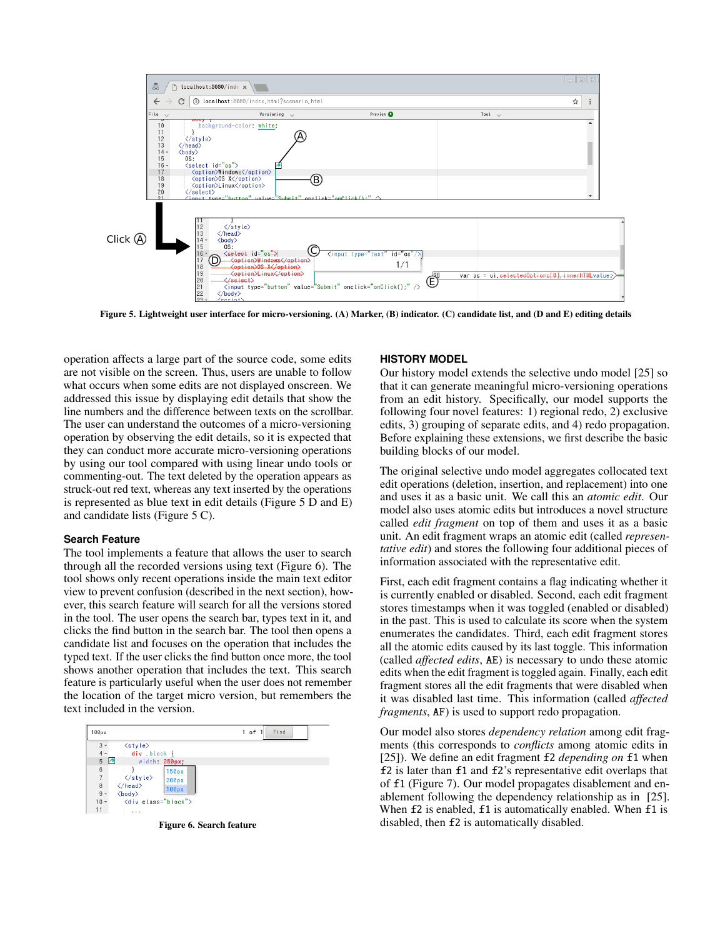

<span id="page-4-0"></span>Figure 5. Lightweight user interface for micro-versioning. (A) Marker, (B) indicator. (C) candidate list, and (D and E) editing details

operation affects a large part of the source code, some edits are not visible on the screen. Thus, users are unable to follow what occurs when some edits are not displayed onscreen. We addressed this issue by displaying edit details that show the line numbers and the difference between texts on the scrollbar. The user can understand the outcomes of a micro-versioning operation by observing the edit details, so it is expected that they can conduct more accurate micro-versioning operations by using our tool compared with using linear undo tools or commenting-out. The text deleted by the operation appears as struck-out red text, whereas any text inserted by the operations is represented as blue text in edit details (Figure [5](#page-4-0) D and E) and candidate lists (Figure [5](#page-4-0) C).

#### **Search Feature**

The tool implements a feature that allows the user to search through all the recorded versions using text (Figure [6\)](#page-4-1). The tool shows only recent operations inside the main text editor view to prevent confusion (described in the next section), however, this search feature will search for all the versions stored in the tool. The user opens the search bar, types text in it, and clicks the find button in the search bar. The tool then opens a candidate list and focuses on the operation that includes the typed text. If the user clicks the find button once more, the tool shows another operation that includes the text. This search feature is particularly useful when the user does not remember the location of the target micro version, but remembers the text included in the version.

| 100px                             |                                                                 | Find<br>1 of                        |
|-----------------------------------|-----------------------------------------------------------------|-------------------------------------|
| $3 -$<br>$4 -$                    | $\langle$ style $\rangle$<br>div block {                        |                                     |
| 5                                 | n                                                               | width: 250px;                       |
| 6<br>$\overline{7}$<br>8<br>$9 -$ | $\langle$ /style><br>$\langle$ /head><br>$\langle body \rangle$ | 150px<br>200 <sub>px</sub><br>100px |
| $10 -$<br>11                      | <div class="block"><br/>.</div>                                 |                                     |

<span id="page-4-1"></span>Figure 6. Search feature

#### **HISTORY MODEL**

Our history model extends the selective undo model [\[25\]](#page-11-1) so that it can generate meaningful micro-versioning operations from an edit history. Specifically, our model supports the following four novel features: 1) regional redo, 2) exclusive edits, 3) grouping of separate edits, and 4) redo propagation. Before explaining these extensions, we first describe the basic building blocks of our model.

The original selective undo model aggregates collocated text edit operations (deletion, insertion, and replacement) into one and uses it as a basic unit. We call this an *atomic edit*. Our model also uses atomic edits but introduces a novel structure called *edit fragment* on top of them and uses it as a basic unit. An edit fragment wraps an atomic edit (called *representative edit*) and stores the following four additional pieces of information associated with the representative edit.

First, each edit fragment contains a flag indicating whether it is currently enabled or disabled. Second, each edit fragment stores timestamps when it was toggled (enabled or disabled) in the past. This is used to calculate its score when the system enumerates the candidates. Third, each edit fragment stores all the atomic edits caused by its last toggle. This information (called *affected edits*, AE) is necessary to undo these atomic edits when the edit fragment is toggled again. Finally, each edit fragment stores all the edit fragments that were disabled when it was disabled last time. This information (called *affected fragments*, AF) is used to support redo propagation.

Our model also stores *dependency relation* among edit fragments (this corresponds to *conflicts* among atomic edits in [\[25\]](#page-11-1)). We define an edit fragment f2 *depending on* f1 when f2 is later than f1 and f2's representative edit overlaps that of f1 (Figure [7\)](#page-5-0). Our model propagates disablement and enablement following the dependency relationship as in [\[25\]](#page-11-1). When f2 is enabled, f1 is automatically enabled. When f1 is disabled, then f2 is automatically disabled.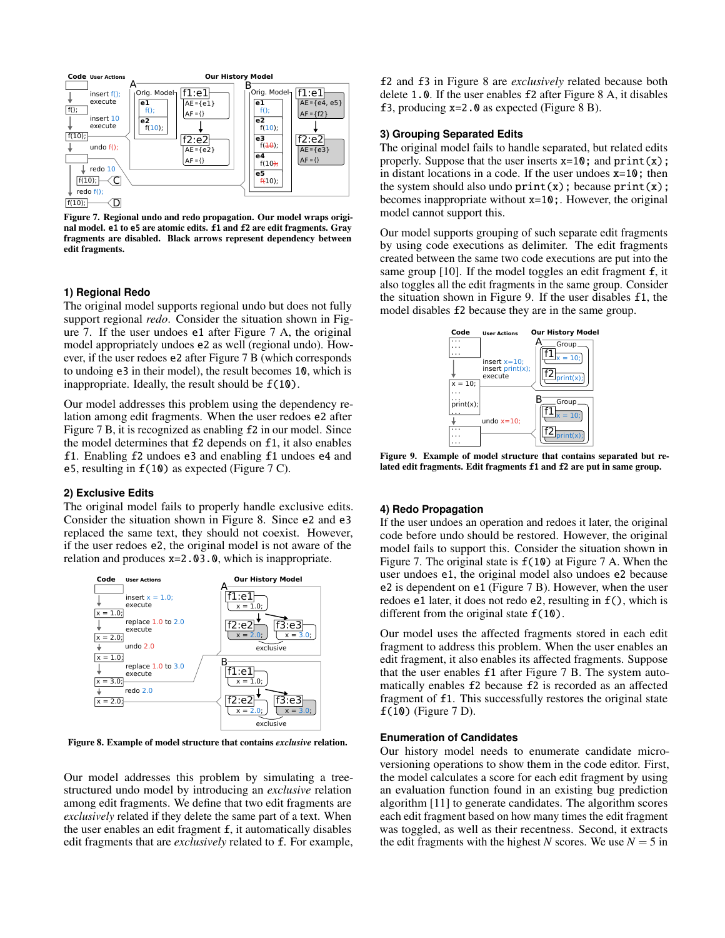

<span id="page-5-0"></span>Figure 7. Regional undo and redo propagation. Our model wraps original model. e1 to e5 are atomic edits. f1 and f2 are edit fragments. Gray fragments are disabled. Black arrows represent dependency between edit fragments.

## **1) Regional Redo**

The original model supports regional undo but does not fully support regional *redo*. Consider the situation shown in Figure [7.](#page-5-0) If the user undoes e1 after Figure [7](#page-5-0) A, the original model appropriately undoes e2 as well (regional undo). However, if the user redoes e2 after Figure [7](#page-5-0) B (which corresponds to undoing e3 in their model), the result becomes 10, which is inappropriate. Ideally, the result should be f(10).

Our model addresses this problem using the dependency relation among edit fragments. When the user redoes e2 after Figure [7](#page-5-0) B, it is recognized as enabling f2 in our model. Since the model determines that f2 depends on f1, it also enables f1. Enabling f2 undoes e3 and enabling f1 undoes e4 and e5, resulting in f(10) as expected (Figure [7](#page-5-0) C).

#### **2) Exclusive Edits**

The original model fails to properly handle exclusive edits. Consider the situation shown in Figure [8.](#page-5-1) Since e2 and e3 replaced the same text, they should not coexist. However, if the user redoes e2, the original model is not aware of the relation and produces  $x=2.03.0$ , which is inappropriate.



<span id="page-5-1"></span>Figure 8. Example of model structure that contains *exclusive* relation.

Our model addresses this problem by simulating a treestructured undo model by introducing an *exclusive* relation among edit fragments. We define that two edit fragments are *exclusively* related if they delete the same part of a text. When the user enables an edit fragment f, it automatically disables edit fragments that are *exclusively* related to f. For example,

f2 and f3 in Figure [8](#page-5-1) are *exclusively* related because both delete 1.0. If the user enables f2 after Figure [8](#page-5-1) A, it disables f3, producing x=2.0 as expected (Figure [8](#page-5-1) B).

## **3) Grouping Separated Edits**

The original model fails to handle separated, but related edits properly. Suppose that the user inserts  $x=10$ ; and  $print(x)$ ; in distant locations in a code. If the user undoes  $x=10$ ; then the system should also undo  $print(x)$ ; because  $print(x)$ ; becomes inappropriate without  $x=10$ ; However, the original model cannot support this.

Our model supports grouping of such separate edit fragments by using code executions as delimiter. The edit fragments created between the same two code executions are put into the same group [\[10\]](#page-10-4). If the model toggles an edit fragment f, it also toggles all the edit fragments in the same group. Consider the situation shown in Figure [9.](#page-5-2) If the user disables f1, the model disables f2 because they are in the same group.



<span id="page-5-2"></span>Figure 9. Example of model structure that contains separated but related edit fragments. Edit fragments f1 and f2 are put in same group.

# **4) Redo Propagation**

If the user undoes an operation and redoes it later, the original code before undo should be restored. However, the original model fails to support this. Consider the situation shown in Figure [7.](#page-5-0) The original state is f(10) at Figure [7](#page-5-0) A. When the user undoes e1, the original model also undoes e2 because e2 is dependent on e1 (Figure [7](#page-5-0) B). However, when the user redoes e1 later, it does not redo e2, resulting in f(), which is different from the original state f(10).

Our model uses the affected fragments stored in each edit fragment to address this problem. When the user enables an edit fragment, it also enables its affected fragments. Suppose that the user enables f1 after Figure [7](#page-5-0) B. The system automatically enables f2 because f2 is recorded as an affected fragment of f1. This successfully restores the original state  $f(10)$  (Figure [7](#page-5-0) D).

#### **Enumeration of Candidates**

Our history model needs to enumerate candidate microversioning operations to show them in the code editor. First, the model calculates a score for each edit fragment by using an evaluation function found in an existing bug prediction algorithm [\[11\]](#page-10-18) to generate candidates. The algorithm scores each edit fragment based on how many times the edit fragment was toggled, as well as their recentness. Second, it extracts the edit fragments with the highest *N* scores. We use  $N = 5$  in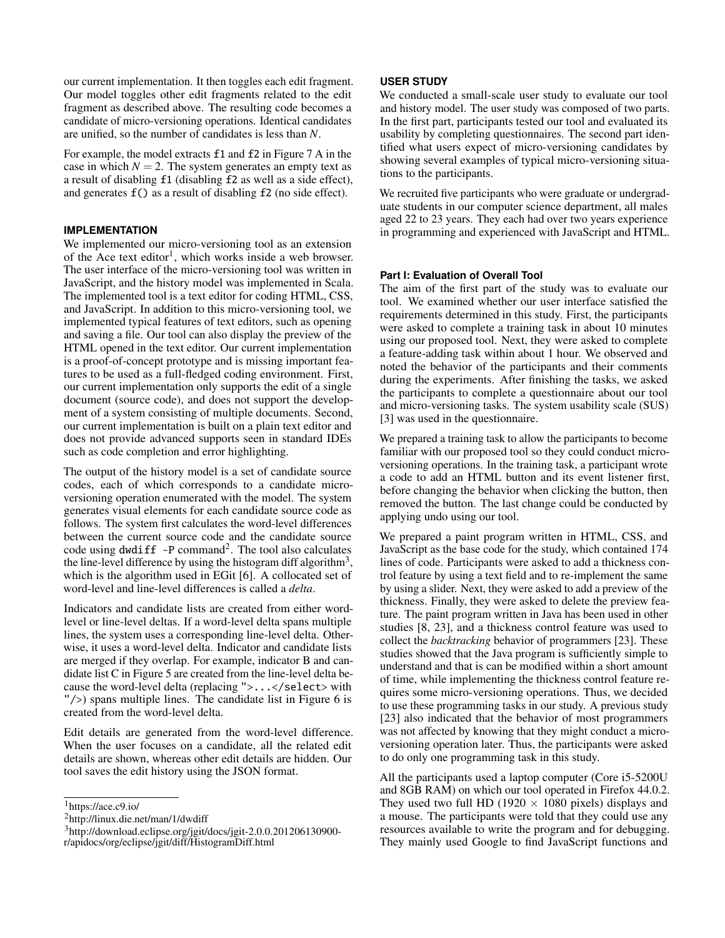our current implementation. It then toggles each edit fragment. Our model toggles other edit fragments related to the edit fragment as described above. The resulting code becomes a candidate of micro-versioning operations. Identical candidates are unified, so the number of candidates is less than *N*.

For example, the model extracts f1 and f2 in Figure [7](#page-5-0) A in the case in which  $N = 2$ . The system generates an empty text as a result of disabling f1 (disabling f2 as well as a side effect), and generates f() as a result of disabling f2 (no side effect).

# **IMPLEMENTATION**

We implemented our micro-versioning tool as an extension of the Ace text editor<sup>[1](#page-6-0)</sup>, which works inside a web browser. The user interface of the micro-versioning tool was written in JavaScript, and the history model was implemented in Scala. The implemented tool is a text editor for coding HTML, CSS, and JavaScript. In addition to this micro-versioning tool, we implemented typical features of text editors, such as opening and saving a file. Our tool can also display the preview of the HTML opened in the text editor. Our current implementation is a proof-of-concept prototype and is missing important features to be used as a full-fledged coding environment. First, our current implementation only supports the edit of a single document (source code), and does not support the development of a system consisting of multiple documents. Second, our current implementation is built on a plain text editor and does not provide advanced supports seen in standard IDEs such as code completion and error highlighting.

The output of the history model is a set of candidate source codes, each of which corresponds to a candidate microversioning operation enumerated with the model. The system generates visual elements for each candidate source code as follows. The system first calculates the word-level differences between the current source code and the candidate source code using  $dwdiff$  -P command<sup>[2](#page-6-1)</sup>. The tool also calculates the line-level difference by using the histogram diff algorithm<sup>[3](#page-6-2)</sup>, which is the algorithm used in EGit [\[6\]](#page-10-10). A collocated set of word-level and line-level differences is called a *delta*.

Indicators and candidate lists are created from either wordlevel or line-level deltas. If a word-level delta spans multiple lines, the system uses a corresponding line-level delta. Otherwise, it uses a word-level delta. Indicator and candidate lists are merged if they overlap. For example, indicator B and candidate list C in Figure [5](#page-4-0) are created from the line-level delta because the word-level delta (replacing ">...</select> with "/>) spans multiple lines. The candidate list in Figure [6](#page-4-1) is created from the word-level delta.

Edit details are generated from the word-level difference. When the user focuses on a candidate, all the related edit details are shown, whereas other edit details are hidden. Our tool saves the edit history using the JSON format.

<span id="page-6-1"></span><sup>2</sup>http://linux.die.net/man/1/dwdiff

# **USER STUDY**

We conducted a small-scale user study to evaluate our tool and history model. The user study was composed of two parts. In the first part, participants tested our tool and evaluated its usability by completing questionnaires. The second part identified what users expect of micro-versioning candidates by showing several examples of typical micro-versioning situations to the participants.

We recruited five participants who were graduate or undergraduate students in our computer science department, all males aged 22 to 23 years. They each had over two years experience in programming and experienced with JavaScript and HTML.

# **Part I: Evaluation of Overall Tool**

The aim of the first part of the study was to evaluate our tool. We examined whether our user interface satisfied the requirements determined in this study. First, the participants were asked to complete a training task in about 10 minutes using our proposed tool. Next, they were asked to complete a feature-adding task within about 1 hour. We observed and noted the behavior of the participants and their comments during the experiments. After finishing the tasks, we asked the participants to complete a questionnaire about our tool and micro-versioning tasks. The system usability scale (SUS) [\[3\]](#page-10-19) was used in the questionnaire.

We prepared a training task to allow the participants to become familiar with our proposed tool so they could conduct microversioning operations. In the training task, a participant wrote a code to add an HTML button and its event listener first, before changing the behavior when clicking the button, then removed the button. The last change could be conducted by applying undo using our tool.

We prepared a paint program written in HTML, CSS, and JavaScript as the base code for the study, which contained 174 lines of code. Participants were asked to add a thickness control feature by using a text field and to re-implement the same by using a slider. Next, they were asked to add a preview of the thickness. Finally, they were asked to delete the preview feature. The paint program written in Java has been used in other studies [\[8,](#page-10-20) [23\]](#page-10-2), and a thickness control feature was used to collect the *backtracking* behavior of programmers [\[23\]](#page-10-2). These studies showed that the Java program is sufficiently simple to understand and that is can be modified within a short amount of time, while implementing the thickness control feature requires some micro-versioning operations. Thus, we decided to use these programming tasks in our study. A previous study [\[23\]](#page-10-2) also indicated that the behavior of most programmers was not affected by knowing that they might conduct a microversioning operation later. Thus, the participants were asked to do only one programming task in this study.

All the participants used a laptop computer (Core i5-5200U and 8GB RAM) on which our tool operated in Firefox 44.0.2. They used two full HD (1920  $\times$  1080 pixels) displays and a mouse. The participants were told that they could use any resources available to write the program and for debugging. They mainly used Google to find JavaScript functions and

<span id="page-6-0"></span> $<sup>1</sup>$ https://ace.c9.io/</sup>

<span id="page-6-2"></span><sup>3</sup>http://download.eclipse.org/jgit/docs/jgit-2.0.0.201206130900 r/apidocs/org/eclipse/jgit/diff/HistogramDiff.html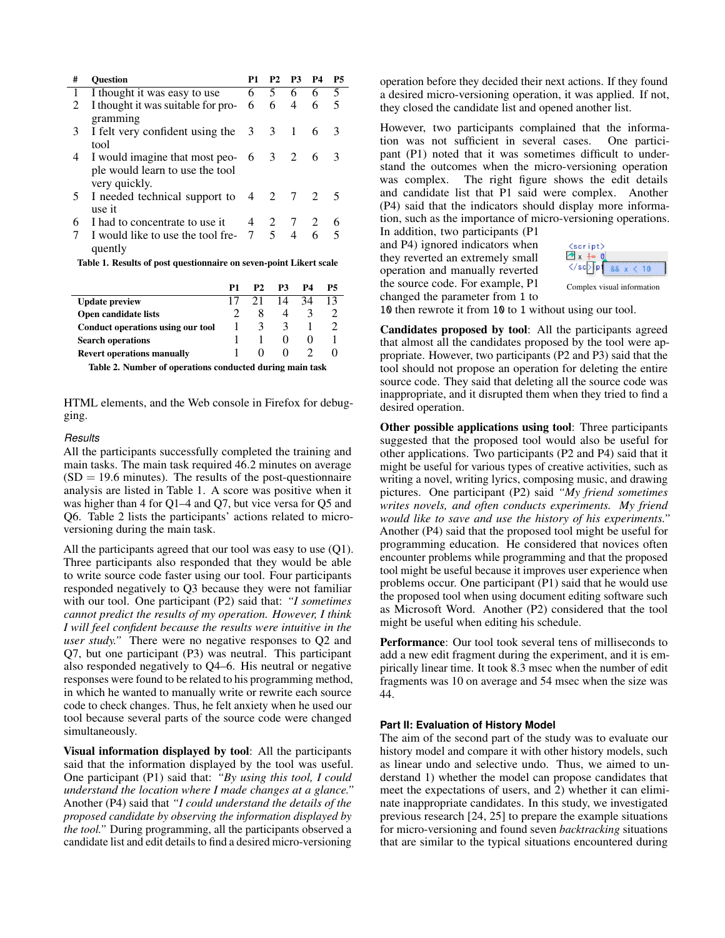| # | <b>Question</b>                                                                     | P1         | P2  | P3                                    | <b>P4</b>       | <b>P5</b> |
|---|-------------------------------------------------------------------------------------|------------|-----|---------------------------------------|-----------------|-----------|
| 1 | I thought it was easy to use                                                        | 6.         | 5   | 6                                     | 6               | 5         |
| 2 | I thought it was suitable for pro-<br>gramming                                      | 6          | 6   | 4                                     | 6               | 5         |
| 3 | I felt very confident using the $\begin{array}{cccc} 3 & 3 & 1 \end{array}$<br>tool |            |     |                                       | 6               | 3         |
| 4 | I would imagine that most peo-<br>ple would learn to use the tool<br>very quickly.  | - 6        | 3 2 |                                       | $6\overline{6}$ | -3        |
| 5 | I needed technical support to 4 2 7 2<br>use it                                     |            |     |                                       |                 | - 5       |
| 6 | I had to concentrate to use it                                                      | 4          | 2 7 |                                       | $\overline{2}$  | 6         |
|   | I would like to use the tool fre-<br>quently                                        | $7\degree$ | 5   | $\overline{4}$                        |                 |           |
|   | .                                                                                   |            |     | $\mathbf{r}$ . The state $\mathbf{r}$ |                 |           |

<span id="page-7-0"></span>Table 1. Results of post questionnaire on seven-point Likert scale

|                                                                                     | P1 | P2. | P3 | P4 | P5 |
|-------------------------------------------------------------------------------------|----|-----|----|----|----|
| <b>Update preview</b>                                                               |    | 21  | 14 | 34 | 13 |
| Open candidate lists                                                                |    |     |    |    |    |
| Conduct operations using our tool                                                   |    |     | ≺  |    |    |
| <b>Search operations</b>                                                            |    |     |    |    |    |
| <b>Revert operations manually</b>                                                   |    |     |    |    |    |
| The Lite A. Alexandrone of an american according to the distribution and the facts. |    |     |    |    |    |

<span id="page-7-1"></span>Table 2. Number of operations conducted during main task

HTML elements, and the Web console in Firefox for debugging.

#### *Results*

All the participants successfully completed the training and main tasks. The main task required 46.2 minutes on average  $(SD = 19.6$  minutes). The results of the post-questionnaire analysis are listed in Table [1.](#page-7-0) A score was positive when it was higher than 4 for Q1–4 and Q7, but vice versa for Q5 and Q6. Table [2](#page-7-1) lists the participants' actions related to microversioning during the main task.

All the participants agreed that our tool was easy to use (Q1). Three participants also responded that they would be able to write source code faster using our tool. Four participants responded negatively to Q3 because they were not familiar with our tool. One participant (P2) said that: *"I sometimes cannot predict the results of my operation. However, I think I will feel confident because the results were intuitive in the user study.*" There were no negative responses to O2 and Q7, but one participant (P3) was neutral. This participant also responded negatively to Q4–6. His neutral or negative responses were found to be related to his programming method, in which he wanted to manually write or rewrite each source code to check changes. Thus, he felt anxiety when he used our tool because several parts of the source code were changed simultaneously.

Visual information displayed by tool: All the participants said that the information displayed by the tool was useful. One participant (P1) said that: *"By using this tool, I could understand the location where I made changes at a glance."* Another (P4) said that *"I could understand the details of the proposed candidate by observing the information displayed by the tool."* During programming, all the participants observed a candidate list and edit details to find a desired micro-versioning

operation before they decided their next actions. If they found a desired micro-versioning operation, it was applied. If not, they closed the candidate list and opened another list.

However, two participants complained that the information was not sufficient in several cases. One participant (P1) noted that it was sometimes difficult to understand the outcomes when the micro-versioning operation was complex. The right figure shows the edit details and candidate list that P1 said were complex. Another (P4) said that the indicators should display more information, such as the importance of micro-versioning operations. In addition, two participants (P1

and P4) ignored indicators when they reverted an extremely small operation and manually reverted the source code. For example, P1 changed the parameter from 1 to



Complex visual information

10 then rewrote it from 10 to 1 without using our tool.

Candidates proposed by tool: All the participants agreed that almost all the candidates proposed by the tool were appropriate. However, two participants (P2 and P3) said that the tool should not propose an operation for deleting the entire source code. They said that deleting all the source code was inappropriate, and it disrupted them when they tried to find a desired operation.

Other possible applications using tool: Three participants suggested that the proposed tool would also be useful for other applications. Two participants (P2 and P4) said that it might be useful for various types of creative activities, such as writing a novel, writing lyrics, composing music, and drawing pictures. One participant (P2) said *"My friend sometimes writes novels, and often conducts experiments. My friend would like to save and use the history of his experiments."* Another (P4) said that the proposed tool might be useful for programming education. He considered that novices often encounter problems while programming and that the proposed tool might be useful because it improves user experience when problems occur. One participant (P1) said that he would use the proposed tool when using document editing software such as Microsoft Word. Another (P2) considered that the tool might be useful when editing his schedule.

Performance: Our tool took several tens of milliseconds to add a new edit fragment during the experiment, and it is empirically linear time. It took 8.3 msec when the number of edit fragments was 10 on average and 54 msec when the size was 44.

#### **Part II: Evaluation of History Model**

The aim of the second part of the study was to evaluate our history model and compare it with other history models, such as linear undo and selective undo. Thus, we aimed to understand 1) whether the model can propose candidates that meet the expectations of users, and 2) whether it can eliminate inappropriate candidates. In this study, we investigated previous research [\[24,](#page-11-0) [25\]](#page-11-1) to prepare the example situations for micro-versioning and found seven *backtracking* situations that are similar to the typical situations encountered during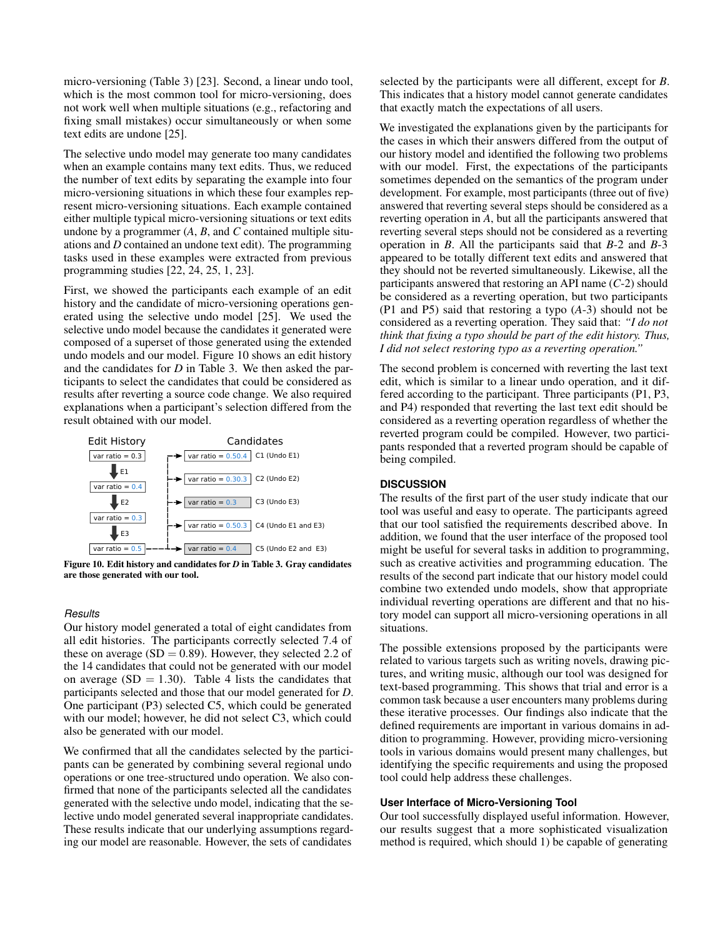micro-versioning (Table [3\)](#page-9-0) [\[23\]](#page-10-2). Second, a linear undo tool, which is the most common tool for micro-versioning, does not work well when multiple situations (e.g., refactoring and fixing small mistakes) occur simultaneously or when some text edits are undone [\[25\]](#page-11-1).

The selective undo model may generate too many candidates when an example contains many text edits. Thus, we reduced the number of text edits by separating the example into four micro-versioning situations in which these four examples represent micro-versioning situations. Each example contained either multiple typical micro-versioning situations or text edits undone by a programmer (*A*, *B*, and *C* contained multiple situations and *D* contained an undone text edit). The programming tasks used in these examples were extracted from previous programming studies [\[22,](#page-10-21) [24,](#page-11-0) [25,](#page-11-1) [1,](#page-10-22) [23\]](#page-10-2).

First, we showed the participants each example of an edit history and the candidate of micro-versioning operations generated using the selective undo model [\[25\]](#page-11-1). We used the selective undo model because the candidates it generated were composed of a superset of those generated using the extended undo models and our model. Figure [10](#page-8-0) shows an edit history and the candidates for *D* in Table [3.](#page-9-0) We then asked the participants to select the candidates that could be considered as results after reverting a source code change. We also required explanations when a participant's selection differed from the result obtained with our model.



<span id="page-8-0"></span>Figure 10. Edit history and candidates for *D* in Table [3.](#page-9-0) Gray candidates are those generated with our tool.

#### *Results*

Our history model generated a total of eight candidates from all edit histories. The participants correctly selected 7.4 of these on average (SD =  $0.89$ ). However, they selected 2.2 of the 14 candidates that could not be generated with our model on average  $(SD = 1.30)$ . Table [4](#page-9-1) lists the candidates that participants selected and those that our model generated for *D*. One participant (P3) selected C5, which could be generated with our model; however, he did not select C3, which could also be generated with our model.

We confirmed that all the candidates selected by the participants can be generated by combining several regional undo operations or one tree-structured undo operation. We also confirmed that none of the participants selected all the candidates generated with the selective undo model, indicating that the selective undo model generated several inappropriate candidates. These results indicate that our underlying assumptions regarding our model are reasonable. However, the sets of candidates

selected by the participants were all different, except for *B*. This indicates that a history model cannot generate candidates that exactly match the expectations of all users.

We investigated the explanations given by the participants for the cases in which their answers differed from the output of our history model and identified the following two problems with our model. First, the expectations of the participants sometimes depended on the semantics of the program under development. For example, most participants (three out of five) answered that reverting several steps should be considered as a reverting operation in *A*, but all the participants answered that reverting several steps should not be considered as a reverting operation in *B*. All the participants said that *B*-2 and *B*-3 appeared to be totally different text edits and answered that they should not be reverted simultaneously. Likewise, all the participants answered that restoring an API name (*C*-2) should be considered as a reverting operation, but two participants (P1 and P5) said that restoring a typo (*A*-3) should not be considered as a reverting operation. They said that: *"I do not think that fixing a typo should be part of the edit history. Thus, I did not select restoring typo as a reverting operation."*

The second problem is concerned with reverting the last text edit, which is similar to a linear undo operation, and it differed according to the participant. Three participants (P1, P3, and P4) responded that reverting the last text edit should be considered as a reverting operation regardless of whether the reverted program could be compiled. However, two participants responded that a reverted program should be capable of being compiled.

#### **DISCUSSION**

The results of the first part of the user study indicate that our tool was useful and easy to operate. The participants agreed that our tool satisfied the requirements described above. In addition, we found that the user interface of the proposed tool might be useful for several tasks in addition to programming, such as creative activities and programming education. The results of the second part indicate that our history model could combine two extended undo models, show that appropriate individual reverting operations are different and that no history model can support all micro-versioning operations in all situations.

The possible extensions proposed by the participants were related to various targets such as writing novels, drawing pictures, and writing music, although our tool was designed for text-based programming. This shows that trial and error is a common task because a user encounters many problems during these iterative processes. Our findings also indicate that the defined requirements are important in various domains in addition to programming. However, providing micro-versioning tools in various domains would present many challenges, but identifying the specific requirements and using the proposed tool could help address these challenges.

#### **User Interface of Micro-Versioning Tool**

Our tool successfully displayed useful information. However, our results suggest that a more sophisticated visualization method is required, which should 1) be capable of generating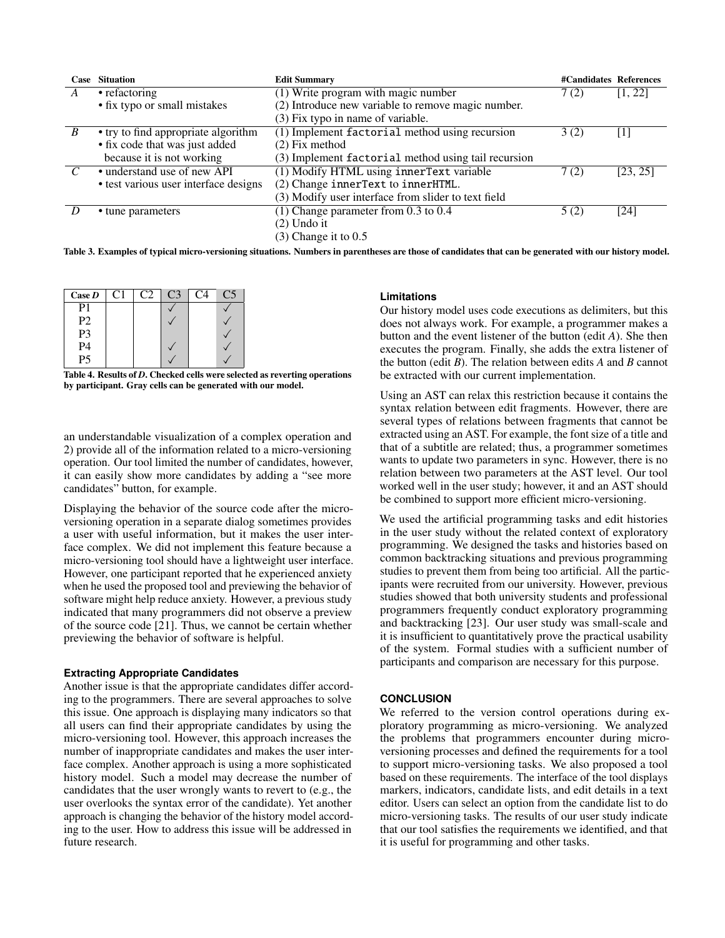|                | <b>Case Situation</b>                 | <b>Edit Summary</b>                                 | #Candidates References |          |
|----------------|---------------------------------------|-----------------------------------------------------|------------------------|----------|
| A              | • refactoring                         | (1) Write program with magic number                 | 7(2)                   | [1, 22]  |
|                | • fix typo or small mistakes          | (2) Introduce new variable to remove magic number.  |                        |          |
|                |                                       | (3) Fix typo in name of variable.                   |                        |          |
| $\overline{B}$ | • try to find appropriate algorithm   | (1) Implement factorial method using recursion      | 3(2)                   | [1]      |
|                | • fix code that was just added        | (2) Fix method                                      |                        |          |
|                | because it is not working             | (3) Implement factorial method using tail recursion |                        |          |
| $\mathcal{C}$  | • understand use of new API           | (1) Modify HTML using innerText variable            | 7(2)                   | [23, 25] |
|                | • test various user interface designs | (2) Change innerText to innerHTML.                  |                        |          |
|                |                                       | (3) Modify user interface from slider to text field |                        |          |
|                | • tune parameters                     | $(1)$ Change parameter from 0.3 to 0.4              | 5(2)                   | [24]     |
|                |                                       | $(2)$ Undo it                                       |                        |          |
|                |                                       | $(3)$ Change it to 0.5                              |                        |          |

<span id="page-9-0"></span>Table 3. Examples of typical micro-versioning situations. Numbers in parentheses are those of candidates that can be generated with our history model.

| Case D         | СI |  |  |
|----------------|----|--|--|
| P١             |    |  |  |
| P <sub>2</sub> |    |  |  |
| P3             |    |  |  |
| P4             |    |  |  |
|                |    |  |  |

<span id="page-9-1"></span>Table 4. Results of *D*. Checked cells were selected as reverting operations by participant. Gray cells can be generated with our model.

an understandable visualization of a complex operation and 2) provide all of the information related to a micro-versioning operation. Our tool limited the number of candidates, however, it can easily show more candidates by adding a "see more candidates" button, for example.

Displaying the behavior of the source code after the microversioning operation in a separate dialog sometimes provides a user with useful information, but it makes the user interface complex. We did not implement this feature because a micro-versioning tool should have a lightweight user interface. However, one participant reported that he experienced anxiety when he used the proposed tool and previewing the behavior of software might help reduce anxiety. However, a previous study indicated that many programmers did not observe a preview of the source code [\[21\]](#page-10-5). Thus, we cannot be certain whether previewing the behavior of software is helpful.

#### **Extracting Appropriate Candidates**

Another issue is that the appropriate candidates differ according to the programmers. There are several approaches to solve this issue. One approach is displaying many indicators so that all users can find their appropriate candidates by using the micro-versioning tool. However, this approach increases the number of inappropriate candidates and makes the user interface complex. Another approach is using a more sophisticated history model. Such a model may decrease the number of candidates that the user wrongly wants to revert to (e.g., the user overlooks the syntax error of the candidate). Yet another approach is changing the behavior of the history model according to the user. How to address this issue will be addressed in future research.

#### **Limitations**

Our history model uses code executions as delimiters, but this does not always work. For example, a programmer makes a button and the event listener of the button (edit *A*). She then executes the program. Finally, she adds the extra listener of the button (edit *B*). The relation between edits *A* and *B* cannot be extracted with our current implementation.

Using an AST can relax this restriction because it contains the syntax relation between edit fragments. However, there are several types of relations between fragments that cannot be extracted using an AST. For example, the font size of a title and that of a subtitle are related; thus, a programmer sometimes wants to update two parameters in sync. However, there is no relation between two parameters at the AST level. Our tool worked well in the user study; however, it and an AST should be combined to support more efficient micro-versioning.

We used the artificial programming tasks and edit histories in the user study without the related context of exploratory programming. We designed the tasks and histories based on common backtracking situations and previous programming studies to prevent them from being too artificial. All the participants were recruited from our university. However, previous studies showed that both university students and professional programmers frequently conduct exploratory programming and backtracking [\[23\]](#page-10-2). Our user study was small-scale and it is insufficient to quantitatively prove the practical usability of the system. Formal studies with a sufficient number of participants and comparison are necessary for this purpose.

# **CONCLUSION**

We referred to the version control operations during exploratory programming as micro-versioning. We analyzed the problems that programmers encounter during microversioning processes and defined the requirements for a tool to support micro-versioning tasks. We also proposed a tool based on these requirements. The interface of the tool displays markers, indicators, candidate lists, and edit details in a text editor. Users can select an option from the candidate list to do micro-versioning tasks. The results of our user study indicate that our tool satisfies the requirements we identified, and that it is useful for programming and other tasks.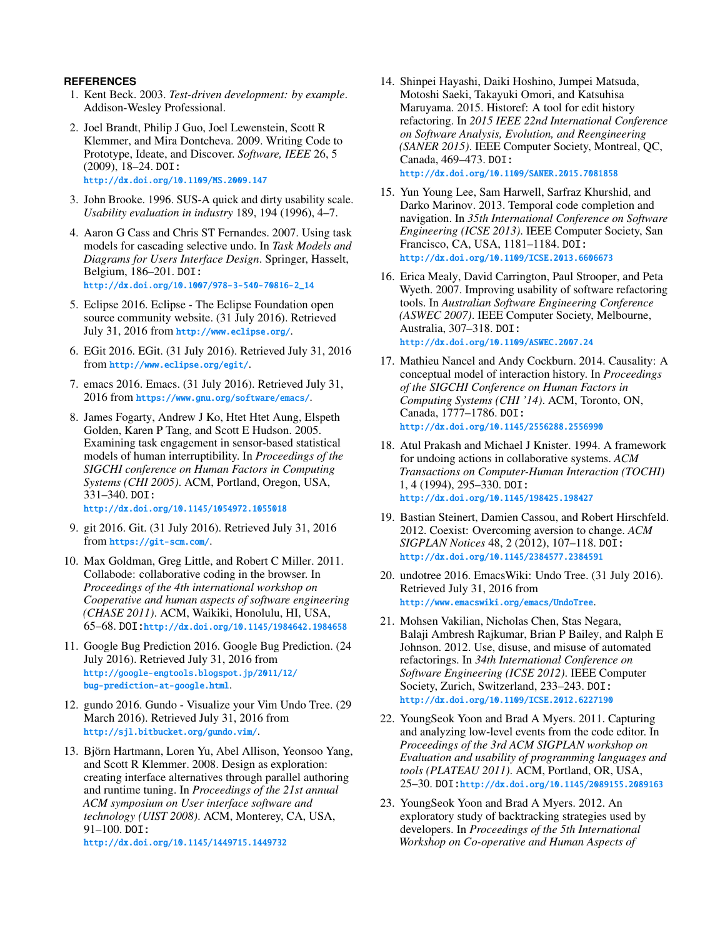# <span id="page-10-22"></span>**REFERENCES**

- 1. Kent Beck. 2003. *Test-driven development: by example*. Addison-Wesley Professional.
- <span id="page-10-0"></span>2. Joel Brandt, Philip J Guo, Joel Lewenstein, Scott R Klemmer, and Mira Dontcheva. 2009. Writing Code to Prototype, Ideate, and Discover. *Software, IEEE* 26, 5 (2009), 18–24. DOI: <http://dx.doi.org/10.1109/MS.2009.147>
- <span id="page-10-19"></span>3. John Brooke. 1996. SUS-A quick and dirty usability scale. *Usability evaluation in industry* 189, 194 (1996), 4–7.
- <span id="page-10-15"></span>4. Aaron G Cass and Chris ST Fernandes. 2007. Using task models for cascading selective undo. In *Task Models and Diagrams for Users Interface Design*. Springer, Hasselt, Belgium, 186–201. DOI: [http://dx.doi.org/10.1007/978-3-540-70816-2\\_14](http://dx.doi.org/10.1007/978-3-540-70816-2_14)
- <span id="page-10-12"></span>5. Eclipse 2016. Eclipse - The Eclipse Foundation open source community website. (31 July 2016). Retrieved July 31, 2016 from <http://www.eclipse.org/>.
- <span id="page-10-10"></span>6. EGit 2016. EGit. (31 July 2016). Retrieved July 31, 2016 from <http://www.eclipse.org/egit/>.
- <span id="page-10-6"></span>7. emacs 2016. Emacs. (31 July 2016). Retrieved July 31, 2016 from <https://www.gnu.org/software/emacs/>.
- <span id="page-10-20"></span>8. James Fogarty, Andrew J Ko, Htet Htet Aung, Elspeth Golden, Karen P Tang, and Scott E Hudson. 2005. Examining task engagement in sensor-based statistical models of human interruptibility. In *Proceedings of the SIGCHI conference on Human Factors in Computing Systems (CHI 2005)*. ACM, Portland, Oregon, USA, 331–340. DOI:

<http://dx.doi.org/10.1145/1054972.1055018>

- <span id="page-10-3"></span>9. git 2016. Git. (31 July 2016). Retrieved July 31, 2016 from <https://git-scm.com/>.
- <span id="page-10-4"></span>10. Max Goldman, Greg Little, and Robert C Miller. 2011. Collabode: collaborative coding in the browser. In *Proceedings of the 4th international workshop on Cooperative and human aspects of software engineering (CHASE 2011)*. ACM, Waikiki, Honolulu, HI, USA, 65–68. DOI:<http://dx.doi.org/10.1145/1984642.1984658>
- <span id="page-10-18"></span>11. Google Bug Prediction 2016. Google Bug Prediction. (24 July 2016). Retrieved July 31, 2016 from [http://google-engtools.blogspot.jp/2011/12/](http://google-engtools.blogspot.jp/2011/12/bug-prediction-at-google.html) [bug-prediction-at-google.html](http://google-engtools.blogspot.jp/2011/12/bug-prediction-at-google.html).
- <span id="page-10-7"></span>12. gundo 2016. Gundo - Visualize your Vim Undo Tree. (29 March 2016). Retrieved July 31, 2016 from <http://sjl.bitbucket.org/gundo.vim/>.
- <span id="page-10-1"></span>13. Björn Hartmann, Loren Yu, Abel Allison, Yeonsoo Yang, and Scott R Klemmer. 2008. Design as exploration: creating interface alternatives through parallel authoring and runtime tuning. In *Proceedings of the 21st annual ACM symposium on User interface software and technology (UIST 2008)*. ACM, Monterey, CA, USA, 91–100. DOI:

<http://dx.doi.org/10.1145/1449715.1449732>

- <span id="page-10-16"></span>14. Shinpei Hayashi, Daiki Hoshino, Jumpei Matsuda, Motoshi Saeki, Takayuki Omori, and Katsuhisa Maruyama. 2015. Historef: A tool for edit history refactoring. In *2015 IEEE 22nd International Conference on Software Analysis, Evolution, and Reengineering (SANER 2015)*. IEEE Computer Society, Montreal, QC, Canada, 469–473. DOI:
	- <http://dx.doi.org/10.1109/SANER.2015.7081858>
- <span id="page-10-11"></span>15. Yun Young Lee, Sam Harwell, Sarfraz Khurshid, and Darko Marinov. 2013. Temporal code completion and navigation. In *35th International Conference on Software Engineering (ICSE 2013)*. IEEE Computer Society, San Francisco, CA, USA, 1181–1184. DOI: <http://dx.doi.org/10.1109/ICSE.2013.6606673>
- <span id="page-10-17"></span>16. Erica Mealy, David Carrington, Paul Strooper, and Peta Wyeth. 2007. Improving usability of software refactoring tools. In *Australian Software Engineering Conference (ASWEC 2007)*. IEEE Computer Society, Melbourne, Australia, 307–318. DOI: <http://dx.doi.org/10.1109/ASWEC.2007.24>
- <span id="page-10-14"></span>17. Mathieu Nancel and Andy Cockburn. 2014. Causality: A conceptual model of interaction history. In *Proceedings of the SIGCHI Conference on Human Factors in Computing Systems (CHI '14)*. ACM, Toronto, ON, Canada, 1777–1786. DOI: <http://dx.doi.org/10.1145/2556288.2556990>
- <span id="page-10-9"></span>18. Atul Prakash and Michael J Knister. 1994. A framework for undoing actions in collaborative systems. *ACM Transactions on Computer-Human Interaction (TOCHI)* 1, 4 (1994), 295–330. DOI: <http://dx.doi.org/10.1145/198425.198427>
- <span id="page-10-13"></span>19. Bastian Steinert, Damien Cassou, and Robert Hirschfeld. 2012. Coexist: Overcoming aversion to change. *ACM SIGPLAN Notices* 48, 2 (2012), 107–118. DOI: <http://dx.doi.org/10.1145/2384577.2384591>
- <span id="page-10-8"></span>20. undotree 2016. EmacsWiki: Undo Tree. (31 July 2016). Retrieved July 31, 2016 from <http://www.emacswiki.org/emacs/UndoTree>.
- <span id="page-10-5"></span>21. Mohsen Vakilian, Nicholas Chen, Stas Negara, Balaji Ambresh Rajkumar, Brian P Bailey, and Ralph E Johnson. 2012. Use, disuse, and misuse of automated refactorings. In *34th International Conference on Software Engineering (ICSE 2012)*. IEEE Computer Society, Zurich, Switzerland, 233–243. DOI: <http://dx.doi.org/10.1109/ICSE.2012.6227190>
- <span id="page-10-21"></span>22. YoungSeok Yoon and Brad A Myers. 2011. Capturing and analyzing low-level events from the code editor. In *Proceedings of the 3rd ACM SIGPLAN workshop on Evaluation and usability of programming languages and tools (PLATEAU 2011)*. ACM, Portland, OR, USA, 25–30. DOI:<http://dx.doi.org/10.1145/2089155.2089163>
- <span id="page-10-2"></span>23. YoungSeok Yoon and Brad A Myers. 2012. An exploratory study of backtracking strategies used by developers. In *Proceedings of the 5th International Workshop on Co-operative and Human Aspects of*